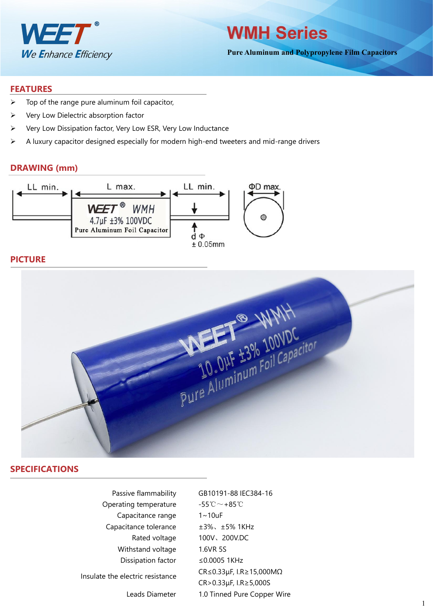

**WMH Series**

**Pure Aluminum and Polypropylene Film Capacitors**

#### **FEATURES**

- $\triangleright$  Top of the range pure aluminum foil capacitor,
- $\triangleright$  Very Low Dielectric absorption factor
- $\triangleright$  Very Low Dissipation factor, Very Low ESR, Very Low Inductance
- $\triangleright$  A luxury capacitor designed especially for modern high-end tweeters and mid-range drivers

### **DRAWING (mm)**



## **PICTURE**



### **SPECIFICATIONS**

| Passive flammability             | GB10191-88 IEC384-16                           |
|----------------------------------|------------------------------------------------|
| Operating temperature            | $-55^{\circ}\text{C}\!\sim+85^{\circ}\text{C}$ |
| Capacitance range                | $1 \sim 10$ uF                                 |
| Capacitance tolerance            | $±3\%$ , $±5\%$ 1KHz                           |
| Rated voltage                    | 100V、200V.DC                                   |
| Withstand voltage                | 1.6VR 5S                                       |
| Dissipation factor               | ≤0.0005 1KHz                                   |
| Insulate the electric resistance | $CR \le 0.33 \mu F$ , I.R $\ge 15,000 M\Omega$ |
|                                  | $CR > 0.33 \mu F$ , I.R $\geq$ 5,000S          |
| Leads Diameter                   | 1.0 Tinned Pure Copper Wire                    |